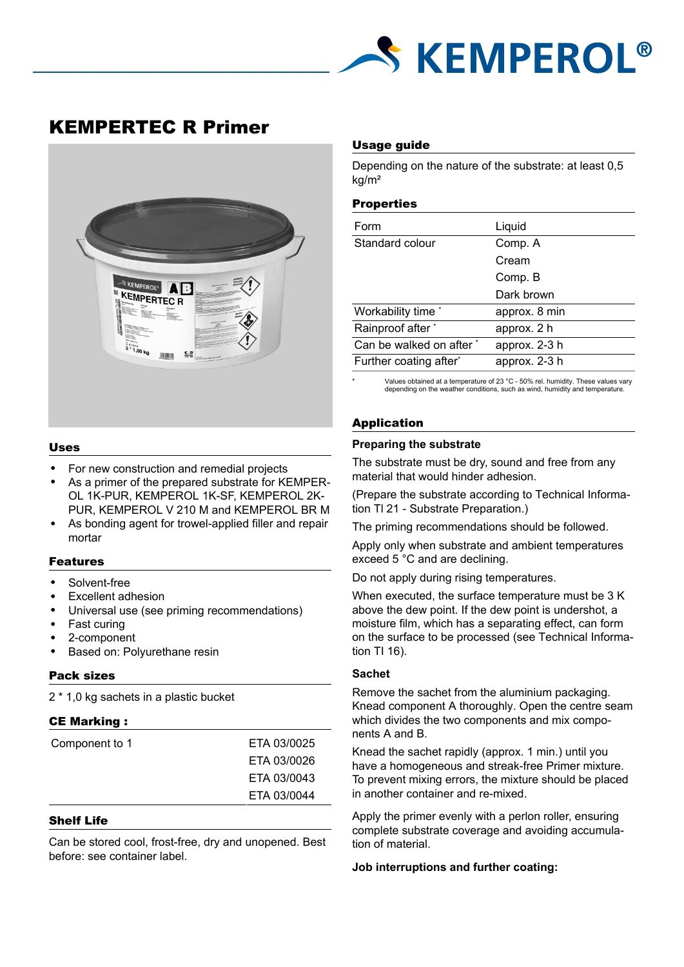

# KEMPERTEC R Primer



## Uses

- For new construction and remedial projects
- As a primer of the prepared substrate for KEMPER-OL 1K-PUR, KEMPEROL 1K-SF, KEMPEROL 2K-PUR, KEMPEROL V 210 M and KEMPEROL BR M
- As bonding agent for trowel-applied filler and repair mortar

## Features

- Solvent-free
- Excellent adhesion
- Universal use (see priming recommendations)
- Fast curing
- 2-component
- Based on: Polyurethane resin

## Pack sizes

2 \* 1,0 kg sachets in a plastic bucket

## CE Marking :

| Component to 1 | ETA 03/0025 |
|----------------|-------------|
|                | ETA 03/0026 |
|                | ETA 03/0043 |
|                | ETA 03/0044 |

## Shelf Life

Can be stored cool, frost-free, dry and unopened. Best before: see container label.

## Usage guide

Depending on the nature of the substrate: at least 0,5 kg/m²

#### **Properties**

| Form                     | Liquid        |
|--------------------------|---------------|
| Standard colour          | Comp. A       |
|                          | Cream         |
|                          | Comp. B       |
|                          | Dark brown    |
| Workability time *       | approx. 8 min |
| Rainproof after *        | approx. 2 h   |
| Can be walked on after * | approx. 2-3 h |
| Further coating after*   | approx. 2-3 h |

Values obtained at a temperature of 23 °C - 50% rel. humidity. These values vary depending on the weather conditions, such as wind, humidity and temperature.

# Application

## **Preparing the substrate**

The substrate must be dry, sound and free from any material that would hinder adhesion.

(Prepare the substrate according to Technical Information Tl 21 - Substrate Preparation.)

The priming recommendations should be followed.

Apply only when substrate and ambient temperatures exceed 5 °C and are declining.

Do not apply during rising temperatures.

When executed, the surface temperature must be 3 K above the dew point. If the dew point is undershot, a moisture film, which has a separating effect, can form on the surface to be processed (see Technical Information TI 16).

## **Sachet**

Remove the sachet from the aluminium packaging. Knead component A thoroughly. Open the centre seam which divides the two components and mix components A and B.

Knead the sachet rapidly (approx. 1 min.) until you have a homogeneous and streak-free Primer mixture. To prevent mixing errors, the mixture should be placed in another container and re-mixed.

Apply the primer evenly with a perlon roller, ensuring complete substrate coverage and avoiding accumulation of material.

**Job interruptions and further coating:**